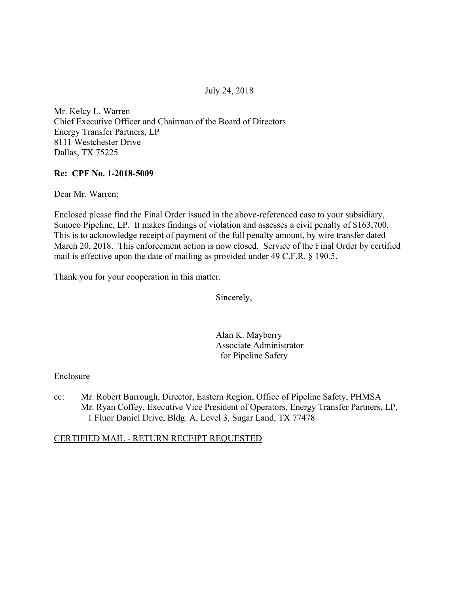July 24, 2018

Mr. Kelcy L. Warren Chief Executive Officer and Chairman of the Board of Directors Energy Transfer Partners, LP 8111 Westchester Drive Dallas, TX 75225

### **Re: CPF No. 1-2018-5009**

Dear Mr. Warren:

Enclosed please find the Final Order issued in the above-referenced case to your subsidiary, Sunoco Pipeline, LP. It makes findings of violation and assesses a civil penalty of \$163,700. This is to acknowledge receipt of payment of the full penalty amount, by wire transfer dated March 20, 2018. This enforcement action is now closed. Service of the Final Order by certified mail is effective upon the date of mailing as provided under 49 C.F.R. § 190.5.

Thank you for your cooperation in this matter.

Sincerely,

Alan K. Mayberry Associate Administrator for Pipeline Safety

#### Enclosure

cc: Mr. Robert Burrough, Director, Eastern Region, Office of Pipeline Safety, PHMSA Mr. Ryan Coffey, Executive Vice President of Operators, Energy Transfer Partners, LP, 1 Fluor Daniel Drive, Bldg. A, Level 3, Sugar Land, TX 77478

## CERTIFIED MAIL - RETURN RECEIPT REQUESTED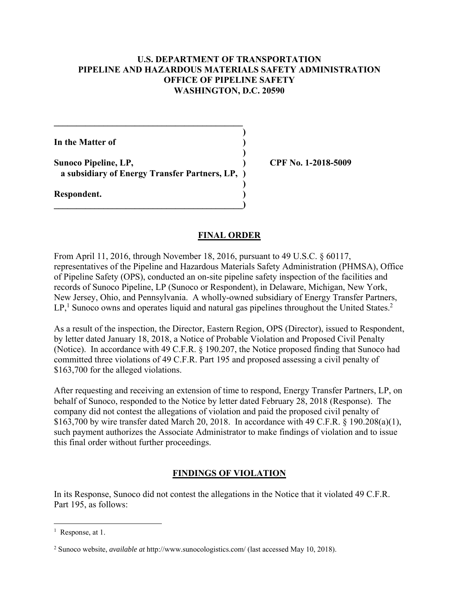### **U.S. DEPARTMENT OF TRANSPORTATION PIPELINE AND HAZARDOUS MATERIALS SAFETY ADMINISTRATION OFFICE OF PIPELINE SAFETY WASHINGTON, D.C. 20590**

**)**

 **)**

 **)**

**In the Matter of )**

**Sunoco Pipeline, LP, ) CPF No. 1-2018-5009 a subsidiary of Energy Transfer Partners, LP, )**

**\_\_\_\_\_\_\_\_\_\_\_\_\_\_\_\_\_\_\_\_\_\_\_\_\_\_\_\_\_\_\_\_\_\_\_\_\_\_\_\_\_\_)** 

 $\mathcal{L} = \{ \mathcal{L} \}$ 

**Respondent. )** 

### **FINAL ORDER**

From April 11, 2016, through November 18, 2016, pursuant to 49 U.S.C. § 60117, representatives of the Pipeline and Hazardous Materials Safety Administration (PHMSA), Office of Pipeline Safety (OPS), conducted an on-site pipeline safety inspection of the facilities and records of Sunoco Pipeline, LP (Sunoco or Respondent), in Delaware, Michigan, New York, New Jersey, Ohio, and Pennsylvania. A wholly-owned subsidiary of Energy Transfer Partners,  $LP<sup>1</sup>$  Sunoco owns and operates liquid and natural gas pipelines throughout the United States.<sup>2</sup>

As a result of the inspection, the Director, Eastern Region, OPS (Director), issued to Respondent, by letter dated January 18, 2018, a Notice of Probable Violation and Proposed Civil Penalty (Notice). In accordance with 49 C.F.R. § 190.207, the Notice proposed finding that Sunoco had committed three violations of 49 C.F.R. Part 195 and proposed assessing a civil penalty of \$163,700 for the alleged violations.

After requesting and receiving an extension of time to respond, Energy Transfer Partners, LP, on behalf of Sunoco, responded to the Notice by letter dated February 28, 2018 (Response). The company did not contest the allegations of violation and paid the proposed civil penalty of \$163,700 by wire transfer dated March 20, 2018. In accordance with 49 C.F.R. § 190.208(a)(1), such payment authorizes the Associate Administrator to make findings of violation and to issue this final order without further proceedings.

## **FINDINGS OF VIOLATION**

In its Response, Sunoco did not contest the allegations in the Notice that it violated 49 C.F.R. Part 195, as follows:

 $\overline{a}$ 

<sup>&</sup>lt;sup>1</sup> Response, at 1.

<sup>2</sup> Sunoco website, *available at* http://www.sunocologistics.com/ (last accessed May 10, 2018).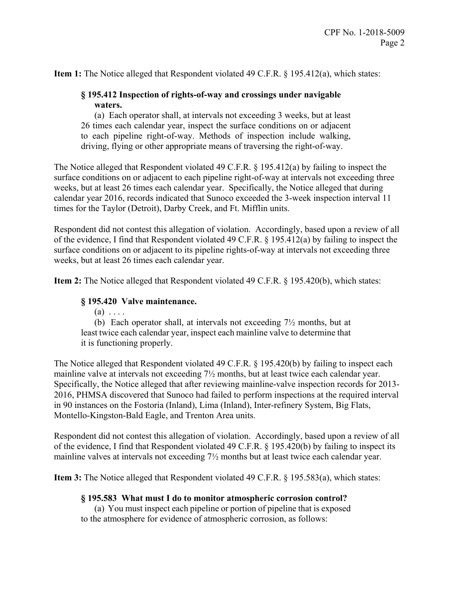**Item 1:** The Notice alleged that Respondent violated 49 C.F.R. § 195.412(a), which states:

# **§ 195.412 Inspection of rights-of-way and crossings under navigable waters.**

(a) Each operator shall, at intervals not exceeding 3 weeks, but at least 26 times each calendar year, inspect the surface conditions on or adjacent to each pipeline right-of-way. Methods of inspection include walking, driving, flying or other appropriate means of traversing the right-of-way.

The Notice alleged that Respondent violated 49 C.F.R. § 195.412(a) by failing to inspect the surface conditions on or adjacent to each pipeline right-of-way at intervals not exceeding three weeks, but at least 26 times each calendar year. Specifically, the Notice alleged that during calendar year 2016, records indicated that Sunoco exceeded the 3-week inspection interval 11 times for the Taylor (Detroit), Darby Creek, and Ft. Mifflin units.

Respondent did not contest this allegation of violation. Accordingly, based upon a review of all of the evidence, I find that Respondent violated 49 C.F.R. § 195.412(a) by failing to inspect the surface conditions on or adjacent to its pipeline rights-of-way at intervals not exceeding three weeks, but at least 26 times each calendar year.

**Item 2:** The Notice alleged that Respondent violated 49 C.F.R. § 195.420(b), which states:

### **§ 195.420 Valve maintenance.**

 $(a) \ldots$ 

(b) Each operator shall, at intervals not exceeding 7½ months, but at least twice each calendar year, inspect each mainline valve to determine that it is functioning properly.

The Notice alleged that Respondent violated 49 C.F.R. § 195.420(b) by failing to inspect each mainline valve at intervals not exceeding 7½ months, but at least twice each calendar year. Specifically, the Notice alleged that after reviewing mainline-valve inspection records for 2013- 2016, PHMSA discovered that Sunoco had failed to perform inspections at the required interval in 90 instances on the Fostoria (Inland), Lima (Inland), Inter-refinery System, Big Flats, Montello-Kingston-Bald Eagle, and Trenton Area units.

Respondent did not contest this allegation of violation. Accordingly, based upon a review of all of the evidence, I find that Respondent violated 49 C.F.R. § 195.420(b) by failing to inspect its mainline valves at intervals not exceeding 7½ months but at least twice each calendar year.

**Item 3:** The Notice alleged that Respondent violated 49 C.F.R. § 195.583(a), which states:

#### **§ 195.583 What must I do to monitor atmospheric corrosion control?**

(a) You must inspect each pipeline or portion of pipeline that is exposed to the atmosphere for evidence of atmospheric corrosion, as follows: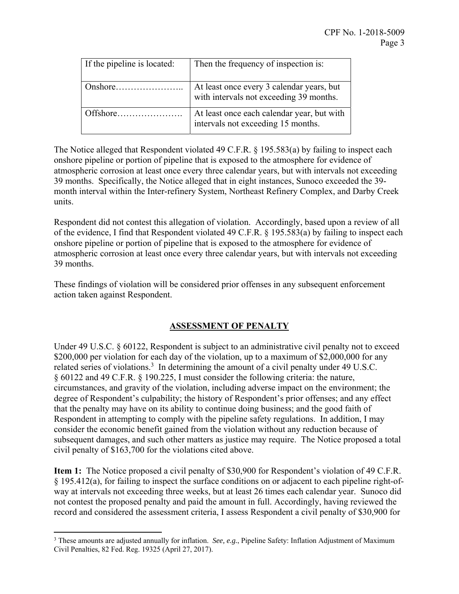| If the pipeline is located: | Then the frequency of inspection is:                                                 |
|-----------------------------|--------------------------------------------------------------------------------------|
| Onshore                     | At least once every 3 calendar years, but<br>with intervals not exceeding 39 months. |
| Offshore                    | At least once each calendar year, but with<br>intervals not exceeding 15 months.     |

The Notice alleged that Respondent violated 49 C.F.R. § 195.583(a) by failing to inspect each onshore pipeline or portion of pipeline that is exposed to the atmosphere for evidence of atmospheric corrosion at least once every three calendar years, but with intervals not exceeding 39 months. Specifically, the Notice alleged that in eight instances, Sunoco exceeded the 39 month interval within the Inter-refinery System, Northeast Refinery Complex, and Darby Creek units.

Respondent did not contest this allegation of violation. Accordingly, based upon a review of all of the evidence, I find that Respondent violated 49 C.F.R. § 195.583(a) by failing to inspect each onshore pipeline or portion of pipeline that is exposed to the atmosphere for evidence of atmospheric corrosion at least once every three calendar years, but with intervals not exceeding 39 months.

These findings of violation will be considered prior offenses in any subsequent enforcement action taken against Respondent.

# **ASSESSMENT OF PENALTY**

Under 49 U.S.C. § 60122, Respondent is subject to an administrative civil penalty not to exceed \$200,000 per violation for each day of the violation, up to a maximum of \$2,000,000 for any related series of violations.<sup>3</sup> In determining the amount of a civil penalty under 49 U.S.C. § 60122 and 49 C.F.R. § 190.225, I must consider the following criteria: the nature, circumstances, and gravity of the violation, including adverse impact on the environment; the degree of Respondent's culpability; the history of Respondent's prior offenses; and any effect that the penalty may have on its ability to continue doing business; and the good faith of Respondent in attempting to comply with the pipeline safety regulations. In addition, I may consider the economic benefit gained from the violation without any reduction because of subsequent damages, and such other matters as justice may require. The Notice proposed a total civil penalty of \$163,700 for the violations cited above.

**Item 1:** The Notice proposed a civil penalty of \$30,900 for Respondent's violation of 49 C.F.R. § 195.412(a), for failing to inspect the surface conditions on or adjacent to each pipeline right-ofway at intervals not exceeding three weeks, but at least 26 times each calendar year. Sunoco did not contest the proposed penalty and paid the amount in full. Accordingly, having reviewed the record and considered the assessment criteria, I assess Respondent a civil penalty of \$30,900 for

 $\overline{a}$ 

<sup>3</sup> These amounts are adjusted annually for inflation. *See, e.g.*, Pipeline Safety: Inflation Adjustment of Maximum Civil Penalties, 82 Fed. Reg. 19325 (April 27, 2017).